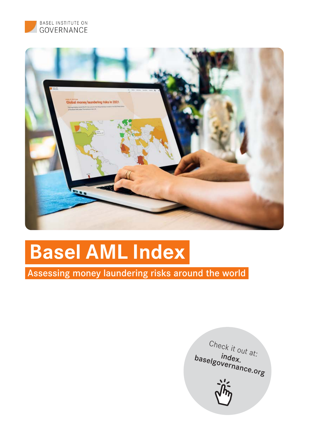



# **Basel AML Index**

Assessing money laundering risks around the world

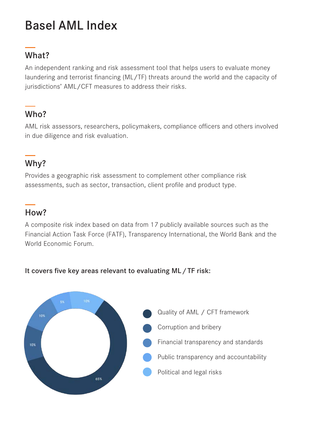## Basel AML Index

### What?

An independent ranking and risk assessment tool that helps users to evaluate money laundering and terrorist financing (ML/TF) threats around the world and the capacity of jurisdictions' AML/CFT measures to address their risks.

### Who?

AML risk assessors, researchers, policymakers, compliance officers and others involved in due diligence and risk evaluation.

### Why?

Provides a geographic risk assessment to complement other compliance risk assessments, such as sector, transaction, client profile and product type.

#### How?

A composite risk index based on data from 17 publicly available sources such as the Financial Action Task Force (FATF), Transparency International, the World Bank and the World Economic Forum.



#### It covers five key areas relevant to evaluating ML/TF risk: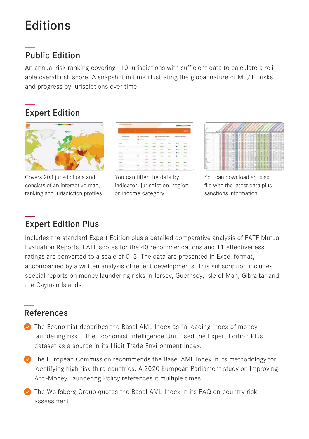## Editions

### Public Edition

An annual risk ranking covering 110 jurisdictions with sufficient data to calculate a reliable overall risk score. A snapshot in time illustrating the global nature of ML/TF risks and progress by jurisdictions over time.

### Expert Edition



Covers 203 jurisdictions and consists of an interactive map, ranking and jurisdiction profiles.



You can filter the data by indicator, jurisdiction, region or income category.

|        |  |   | ÷ | Ξ |   |   | ÷ |  |  | ٠           |  |  |
|--------|--|---|---|---|---|---|---|--|--|-------------|--|--|
|        |  |   |   |   |   |   |   |  |  | ۰           |  |  |
| г      |  | l | Ŧ | ă | x |   |   |  |  | <b>ROAD</b> |  |  |
|        |  |   |   | ٠ |   |   |   |  |  |             |  |  |
| E      |  | E |   | I |   |   |   |  |  | ٦           |  |  |
| E      |  |   | ¥ |   | Ξ | ۰ |   |  |  |             |  |  |
|        |  |   |   |   |   |   |   |  |  |             |  |  |
|        |  |   |   |   |   |   |   |  |  |             |  |  |
|        |  |   |   |   |   |   |   |  |  |             |  |  |
|        |  |   |   |   |   |   |   |  |  |             |  |  |
|        |  |   |   |   |   |   |   |  |  |             |  |  |
| c      |  |   |   |   |   |   |   |  |  |             |  |  |
| н      |  | s |   |   |   |   |   |  |  |             |  |  |
|        |  |   |   |   |   |   |   |  |  |             |  |  |
| Ē      |  |   |   |   |   |   |   |  |  |             |  |  |
|        |  |   |   |   |   |   |   |  |  |             |  |  |
| e      |  |   |   |   |   |   |   |  |  |             |  |  |
| E.     |  |   |   |   |   |   |   |  |  |             |  |  |
| œ      |  |   |   |   |   |   |   |  |  | ۰           |  |  |
|        |  |   |   |   |   |   |   |  |  |             |  |  |
| Ė      |  |   |   |   |   |   |   |  |  |             |  |  |
| ÷      |  |   |   |   |   |   |   |  |  |             |  |  |
| ÷<br>÷ |  |   |   |   |   |   |   |  |  |             |  |  |
|        |  |   |   |   |   |   |   |  |  |             |  |  |

You can download an .xlsx file with the latest data plus sanctions information.

### Expert Edition Plus

Includes the standard Expert Edition plus a detailed comparative analysis of FATF Mutual Evaluation Reports. FATF scores for the 40 recommendations and 11 effectiveness ratings are converted to a scale of 0–3. The data are presented in Excel format, accompanied by a written analysis of recent developments. This subscription includes special reports on money laundering risks in Jersey, Guernsey, Isle of Man, Gibraltar and the Cayman Islands.

#### References

- $\bullet$  The Economist describes the Basel AML Index as "a leading index of moneylaundering risk". The Economist Intelligence Unit used the Expert Edition Plus dataset as a source in its Illicit Trade Environment Index.
- $\bullet$  The European Commission recommends the Basel AML Index in its methodology for identifying high-risk third countries. A 2020 European Parliament study on Improving Anti-Money Laundering Policy references it multiple times.
- $\bullet$  The Wolfsberg Group quotes the Basel AML Index in its FAQ on country risk assessment.